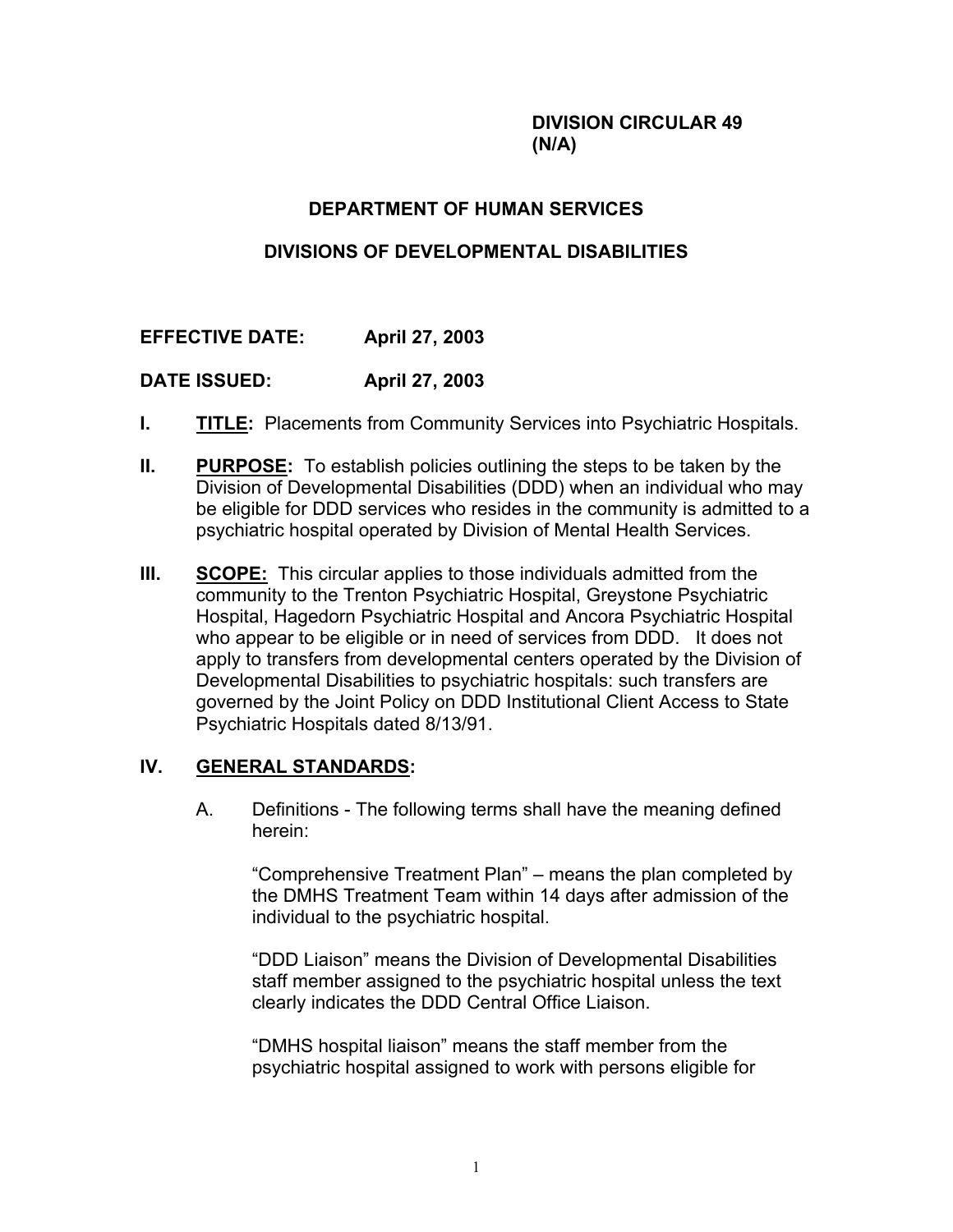#### **DIVISION CIRCULAR 49 (N/A)**

# **DEPARTMENT OF HUMAN SERVICES**

# **DIVISIONS OF DEVELOPMENTAL DISABILITIES**

# **EFFECTIVE DATE: April 27, 2003**

### **DATE ISSUED: April 27, 2003**

- **I. TITLE:** Placements from Community Services into Psychiatric Hospitals.
- **II. PURPOSE:** To establish policies outlining the steps to be taken by the Division of Developmental Disabilities (DDD) when an individual who may be eligible for DDD services who resides in the community is admitted to a psychiatric hospital operated by Division of Mental Health Services.
- **III.** SCOPE: This circular applies to those individuals admitted from the community to the Trenton Psychiatric Hospital, Greystone Psychiatric Hospital, Hagedorn Psychiatric Hospital and Ancora Psychiatric Hospital who appear to be eligible or in need of services from DDD. It does not apply to transfers from developmental centers operated by the Division of Developmental Disabilities to psychiatric hospitals: such transfers are governed by the Joint Policy on DDD Institutional Client Access to State Psychiatric Hospitals dated 8/13/91.

#### **IV. GENERAL STANDARDS:**

A. Definitions - The following terms shall have the meaning defined herein:

"Comprehensive Treatment Plan" – means the plan completed by the DMHS Treatment Team within 14 days after admission of the individual to the psychiatric hospital.

"DDD Liaison" means the Division of Developmental Disabilities staff member assigned to the psychiatric hospital unless the text clearly indicates the DDD Central Office Liaison.

"DMHS hospital liaison" means the staff member from the psychiatric hospital assigned to work with persons eligible for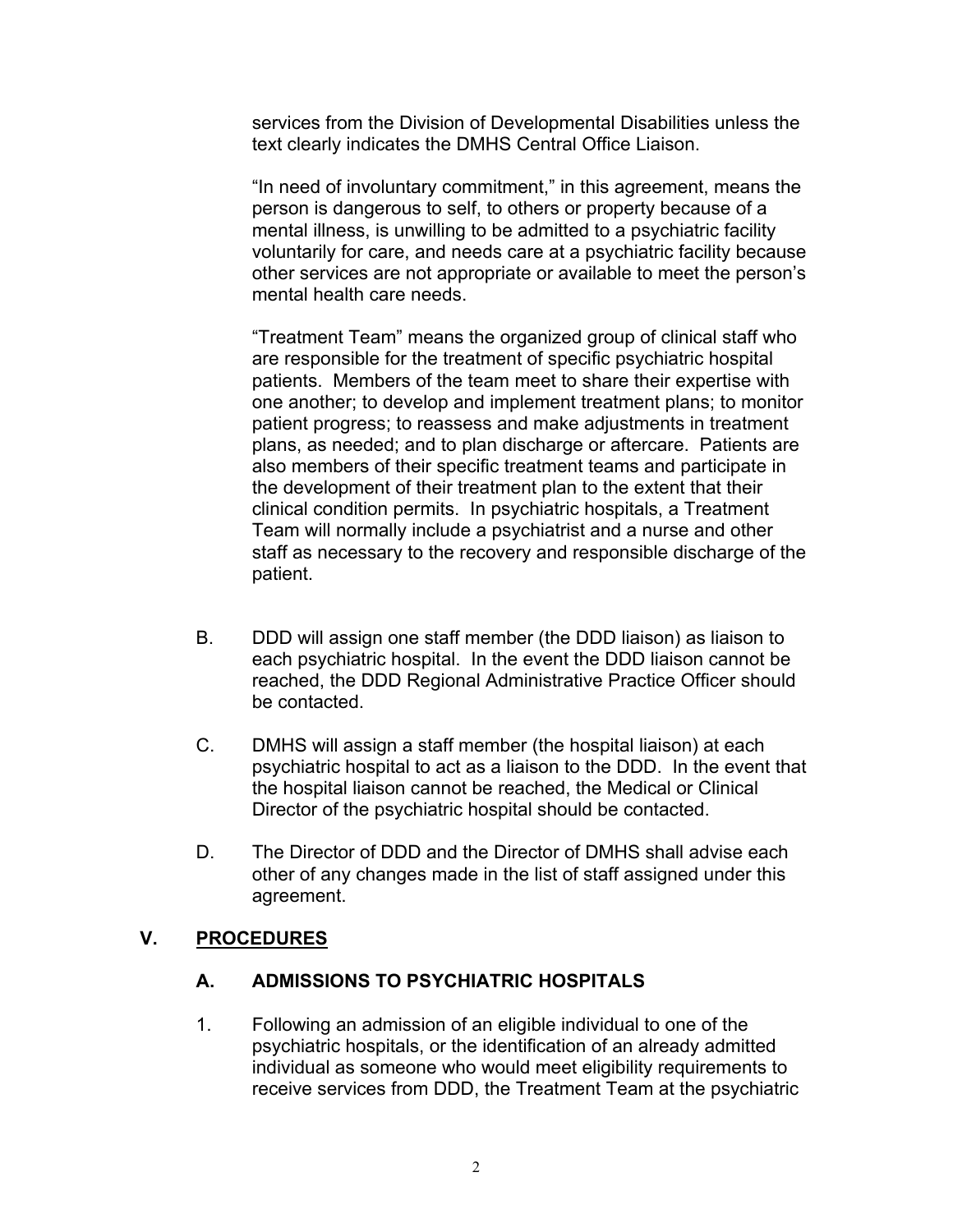services from the Division of Developmental Disabilities unless the text clearly indicates the DMHS Central Office Liaison.

"In need of involuntary commitment," in this agreement, means the person is dangerous to self, to others or property because of a mental illness, is unwilling to be admitted to a psychiatric facility voluntarily for care, and needs care at a psychiatric facility because other services are not appropriate or available to meet the person's mental health care needs.

"Treatment Team" means the organized group of clinical staff who are responsible for the treatment of specific psychiatric hospital patients. Members of the team meet to share their expertise with one another; to develop and implement treatment plans; to monitor patient progress; to reassess and make adjustments in treatment plans, as needed; and to plan discharge or aftercare. Patients are also members of their specific treatment teams and participate in the development of their treatment plan to the extent that their clinical condition permits. In psychiatric hospitals, a Treatment Team will normally include a psychiatrist and a nurse and other staff as necessary to the recovery and responsible discharge of the patient.

- B. DDD will assign one staff member (the DDD liaison) as liaison to each psychiatric hospital. In the event the DDD liaison cannot be reached, the DDD Regional Administrative Practice Officer should be contacted.
- C. DMHS will assign a staff member (the hospital liaison) at each psychiatric hospital to act as a liaison to the DDD. In the event that the hospital liaison cannot be reached, the Medical or Clinical Director of the psychiatric hospital should be contacted.
- D. The Director of DDD and the Director of DMHS shall advise each other of any changes made in the list of staff assigned under this agreement.

### **V. PROCEDURES**

### **A. ADMISSIONS TO PSYCHIATRIC HOSPITALS**

1. Following an admission of an eligible individual to one of the psychiatric hospitals, or the identification of an already admitted individual as someone who would meet eligibility requirements to receive services from DDD, the Treatment Team at the psychiatric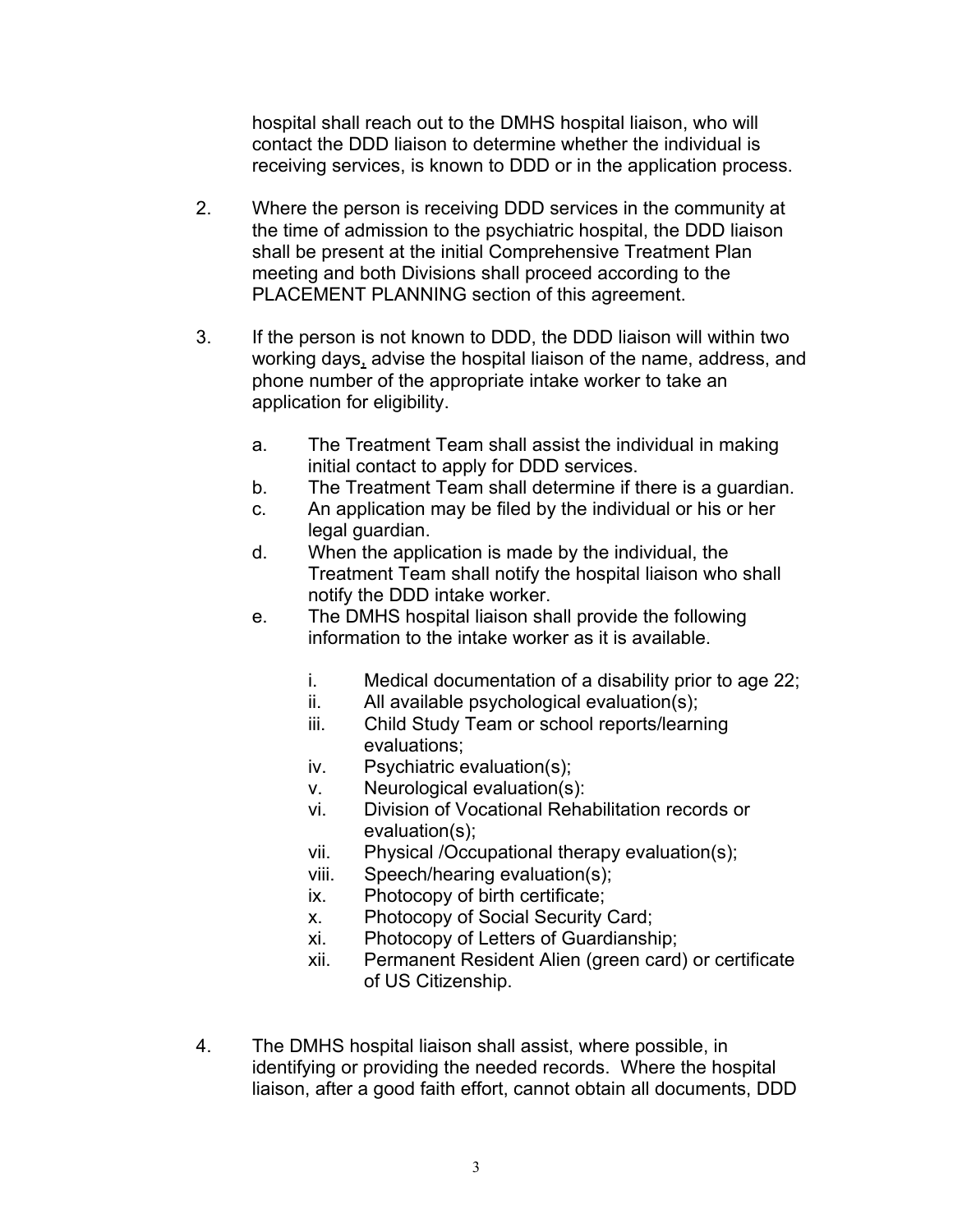hospital shall reach out to the DMHS hospital liaison, who will contact the DDD liaison to determine whether the individual is receiving services, is known to DDD or in the application process.

- 2. Where the person is receiving DDD services in the community at the time of admission to the psychiatric hospital, the DDD liaison shall be present at the initial Comprehensive Treatment Plan meeting and both Divisions shall proceed according to the PLACEMENT PLANNING section of this agreement.
- 3. If the person is not known to DDD, the DDD liaison will within two working days, advise the hospital liaison of the name, address, and phone number of the appropriate intake worker to take an application for eligibility.
	- a. The Treatment Team shall assist the individual in making initial contact to apply for DDD services.
	- b. The Treatment Team shall determine if there is a guardian.
	- c. An application may be filed by the individual or his or her legal guardian.
	- d. When the application is made by the individual, the Treatment Team shall notify the hospital liaison who shall notify the DDD intake worker.
	- e. The DMHS hospital liaison shall provide the following information to the intake worker as it is available.
		- i. Medical documentation of a disability prior to age 22;
		- ii. All available psychological evaluation(s);
		- iii. Child Study Team or school reports/learning evaluations;
		- iv. Psychiatric evaluation(s);
		- v. Neurological evaluation(s):
		- vi. Division of Vocational Rehabilitation records or evaluation(s);
		- vii. Physical /Occupational therapy evaluation(s);
		- viii. Speech/hearing evaluation(s);
		- ix. Photocopy of birth certificate;
		- x. Photocopy of Social Security Card;
		- xi. Photocopy of Letters of Guardianship;
		- xii. Permanent Resident Alien (green card) or certificate of US Citizenship.
- 4. The DMHS hospital liaison shall assist, where possible, in identifying or providing the needed records. Where the hospital liaison, after a good faith effort, cannot obtain all documents, DDD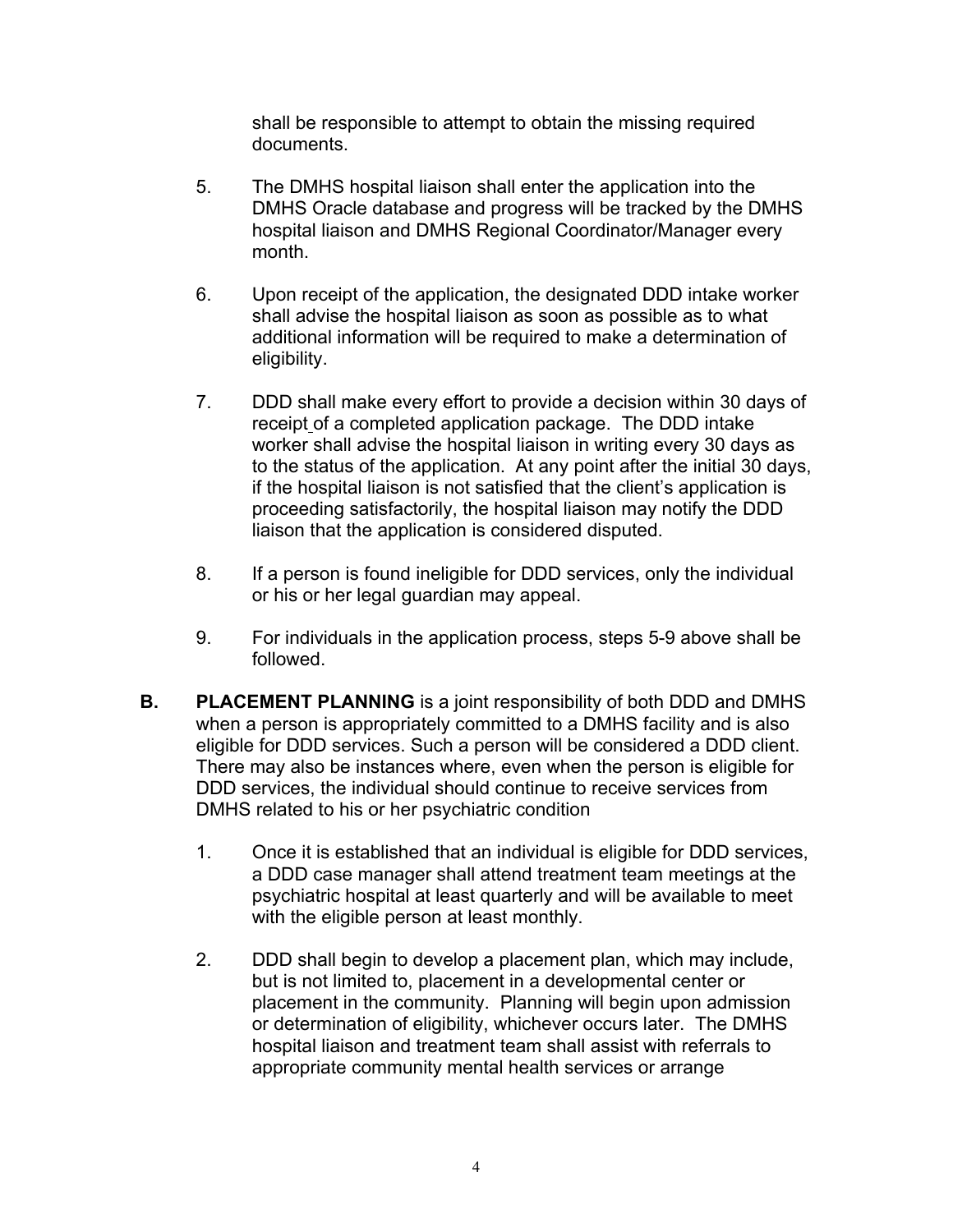shall be responsible to attempt to obtain the missing required documents.

- 5. The DMHS hospital liaison shall enter the application into the DMHS Oracle database and progress will be tracked by the DMHS hospital liaison and DMHS Regional Coordinator/Manager every month.
- 6. Upon receipt of the application, the designated DDD intake worker shall advise the hospital liaison as soon as possible as to what additional information will be required to make a determination of eligibility.
- 7. DDD shall make every effort to provide a decision within 30 days of receipt of a completed application package. The DDD intake worker shall advise the hospital liaison in writing every 30 days as to the status of the application. At any point after the initial 30 days, if the hospital liaison is not satisfied that the client's application is proceeding satisfactorily, the hospital liaison may notify the DDD liaison that the application is considered disputed.
- 8. If a person is found ineligible for DDD services, only the individual or his or her legal guardian may appeal.
- 9. For individuals in the application process, steps 5-9 above shall be followed.
- **B. PLACEMENT PLANNING** is a joint responsibility of both DDD and DMHS when a person is appropriately committed to a DMHS facility and is also eligible for DDD services. Such a person will be considered a DDD client. There may also be instances where, even when the person is eligible for DDD services, the individual should continue to receive services from DMHS related to his or her psychiatric condition
	- 1. Once it is established that an individual is eligible for DDD services, a DDD case manager shall attend treatment team meetings at the psychiatric hospital at least quarterly and will be available to meet with the eligible person at least monthly.
	- 2. DDD shall begin to develop a placement plan, which may include, but is not limited to, placement in a developmental center or placement in the community. Planning will begin upon admission or determination of eligibility, whichever occurs later. The DMHS hospital liaison and treatment team shall assist with referrals to appropriate community mental health services or arrange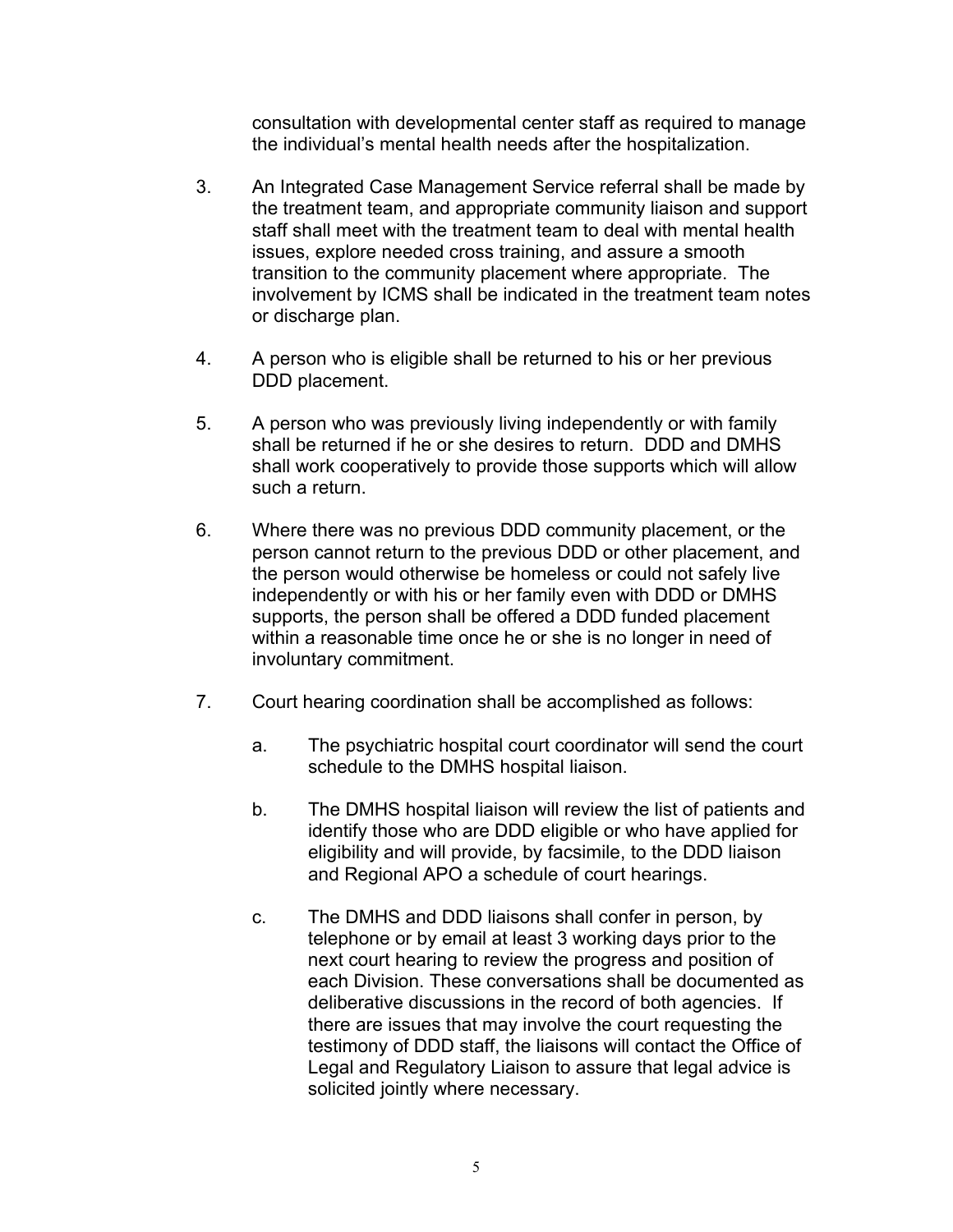consultation with developmental center staff as required to manage the individual's mental health needs after the hospitalization.

- 3. An Integrated Case Management Service referral shall be made by the treatment team, and appropriate community liaison and support staff shall meet with the treatment team to deal with mental health issues, explore needed cross training, and assure a smooth transition to the community placement where appropriate. The involvement by ICMS shall be indicated in the treatment team notes or discharge plan.
- 4. A person who is eligible shall be returned to his or her previous DDD placement.
- 5. A person who was previously living independently or with family shall be returned if he or she desires to return. DDD and DMHS shall work cooperatively to provide those supports which will allow such a return.
- 6. Where there was no previous DDD community placement, or the person cannot return to the previous DDD or other placement, and the person would otherwise be homeless or could not safely live independently or with his or her family even with DDD or DMHS supports, the person shall be offered a DDD funded placement within a reasonable time once he or she is no longer in need of involuntary commitment.
- 7. Court hearing coordination shall be accomplished as follows:
	- a. The psychiatric hospital court coordinator will send the court schedule to the DMHS hospital liaison.
	- b. The DMHS hospital liaison will review the list of patients and identify those who are DDD eligible or who have applied for eligibility and will provide, by facsimile, to the DDD liaison and Regional APO a schedule of court hearings.
	- c. The DMHS and DDD liaisons shall confer in person, by telephone or by email at least 3 working days prior to the next court hearing to review the progress and position of each Division. These conversations shall be documented as deliberative discussions in the record of both agencies. If there are issues that may involve the court requesting the testimony of DDD staff, the liaisons will contact the Office of Legal and Regulatory Liaison to assure that legal advice is solicited jointly where necessary.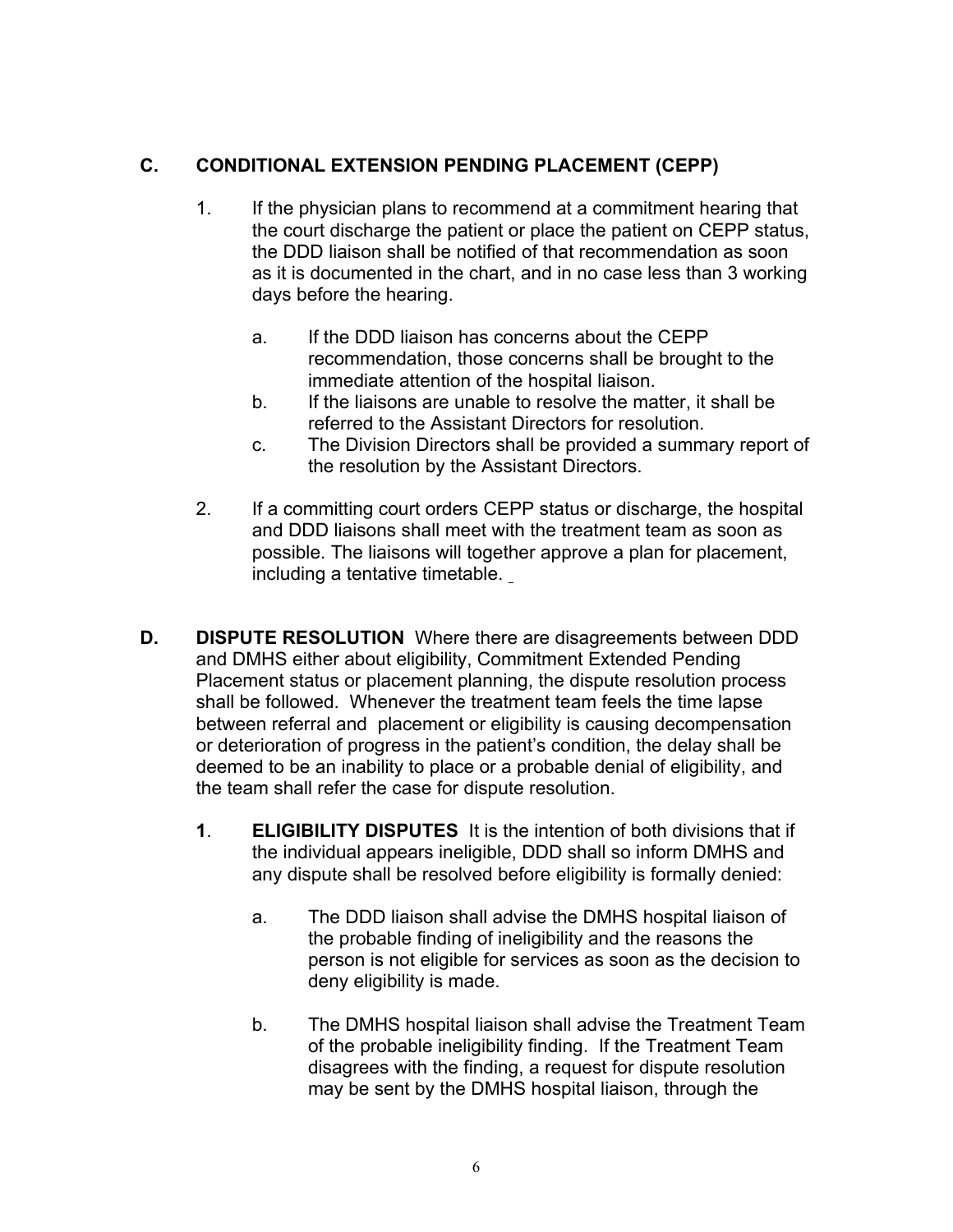# **C. CONDITIONAL EXTENSION PENDING PLACEMENT (CEPP)**

- 1. If the physician plans to recommend at a commitment hearing that the court discharge the patient or place the patient on CEPP status, the DDD liaison shall be notified of that recommendation as soon as it is documented in the chart, and in no case less than 3 working days before the hearing.
	- a. If the DDD liaison has concerns about the CEPP recommendation, those concerns shall be brought to the immediate attention of the hospital liaison.
	- b. If the liaisons are unable to resolve the matter, it shall be referred to the Assistant Directors for resolution.
	- c. The Division Directors shall be provided a summary report of the resolution by the Assistant Directors.
- 2. If a committing court orders CEPP status or discharge, the hospital and DDD liaisons shall meet with the treatment team as soon as possible. The liaisons will together approve a plan for placement, including a tentative timetable.
- **D. DISPUTE RESOLUTION** Where there are disagreements between DDD and DMHS either about eligibility, Commitment Extended Pending Placement status or placement planning, the dispute resolution process shall be followed. Whenever the treatment team feels the time lapse between referral and placement or eligibility is causing decompensation or deterioration of progress in the patient's condition, the delay shall be deemed to be an inability to place or a probable denial of eligibility, and the team shall refer the case for dispute resolution.
	- **1**. **ELIGIBILITY DISPUTES** It is the intention of both divisions that if the individual appears ineligible, DDD shall so inform DMHS and any dispute shall be resolved before eligibility is formally denied:
		- a. The DDD liaison shall advise the DMHS hospital liaison of the probable finding of ineligibility and the reasons the person is not eligible for services as soon as the decision to deny eligibility is made.
		- b. The DMHS hospital liaison shall advise the Treatment Team of the probable ineligibility finding. If the Treatment Team disagrees with the finding, a request for dispute resolution may be sent by the DMHS hospital liaison, through the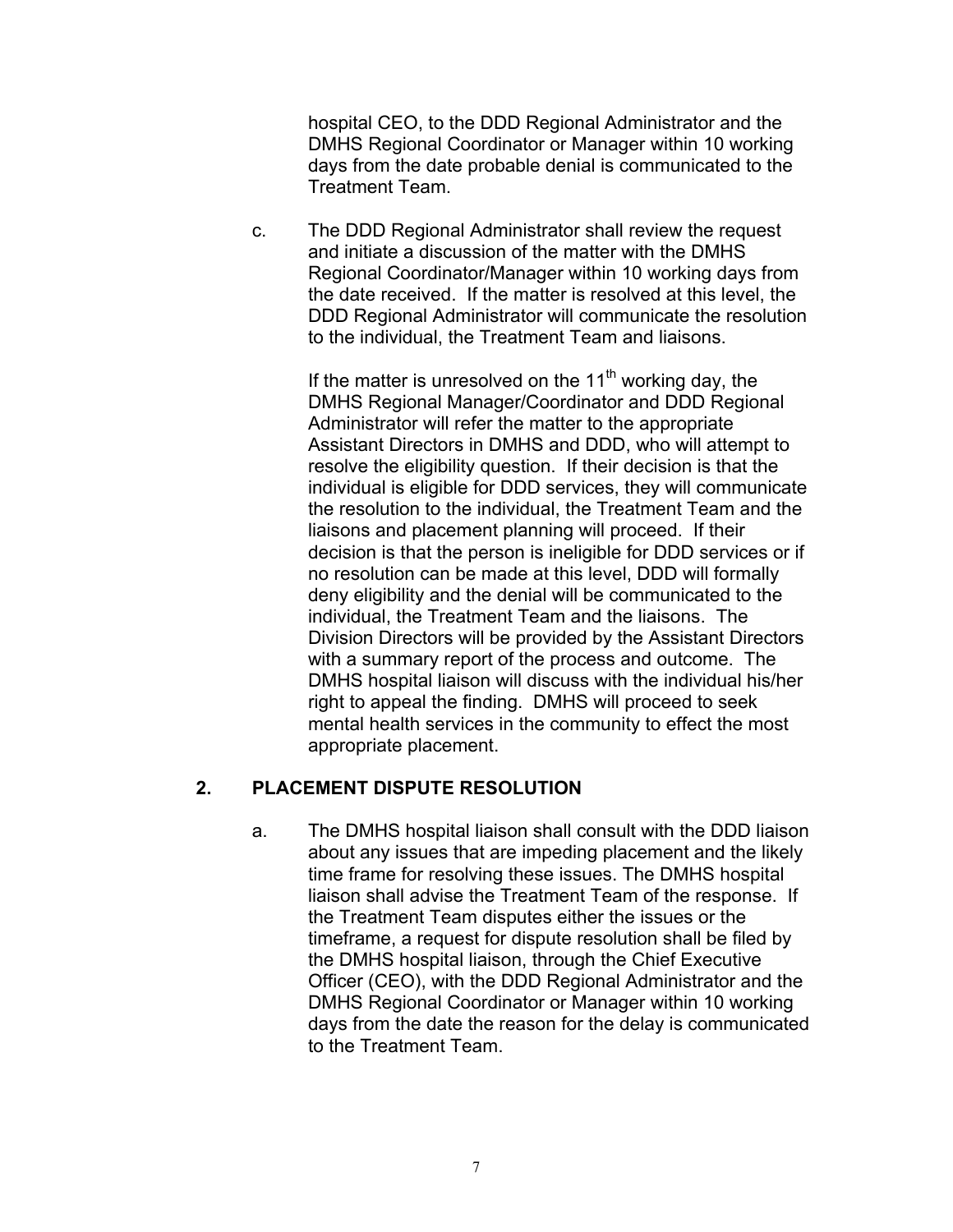hospital CEO, to the DDD Regional Administrator and the DMHS Regional Coordinator or Manager within 10 working days from the date probable denial is communicated to the Treatment Team.

c. The DDD Regional Administrator shall review the request and initiate a discussion of the matter with the DMHS Regional Coordinator/Manager within 10 working days from the date received. If the matter is resolved at this level, the DDD Regional Administrator will communicate the resolution to the individual, the Treatment Team and liaisons.

> If the matter is unresolved on the  $11<sup>th</sup>$  working day, the DMHS Regional Manager/Coordinator and DDD Regional Administrator will refer the matter to the appropriate Assistant Directors in DMHS and DDD, who will attempt to resolve the eligibility question. If their decision is that the individual is eligible for DDD services, they will communicate the resolution to the individual, the Treatment Team and the liaisons and placement planning will proceed. If their decision is that the person is ineligible for DDD services or if no resolution can be made at this level, DDD will formally deny eligibility and the denial will be communicated to the individual, the Treatment Team and the liaisons. The Division Directors will be provided by the Assistant Directors with a summary report of the process and outcome. The DMHS hospital liaison will discuss with the individual his/her right to appeal the finding. DMHS will proceed to seek mental health services in the community to effect the most appropriate placement.

### **2. PLACEMENT DISPUTE RESOLUTION**

a. The DMHS hospital liaison shall consult with the DDD liaison about any issues that are impeding placement and the likely time frame for resolving these issues. The DMHS hospital liaison shall advise the Treatment Team of the response. If the Treatment Team disputes either the issues or the timeframe, a request for dispute resolution shall be filed by the DMHS hospital liaison, through the Chief Executive Officer (CEO), with the DDD Regional Administrator and the DMHS Regional Coordinator or Manager within 10 working days from the date the reason for the delay is communicated to the Treatment Team.